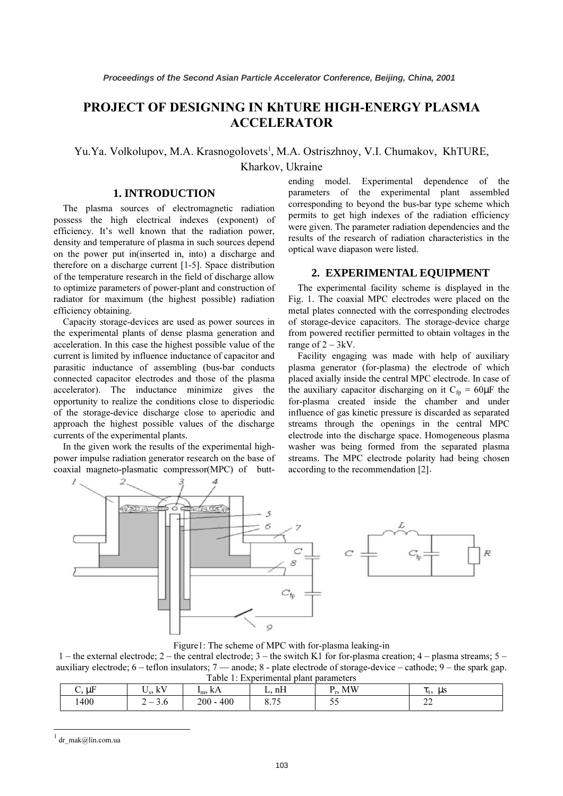# PROJECT OF DESIGNING IN KhTURE HIGH-ENERGY PLASMA ACCELERATOR

Yu.Ya. Volkolupov, M.A. Krasnogolovets<sup>1</sup>, M.A. Ostriszhnoy, V.I. Chumakov, KhTURE,

## **1. INTRODUCTION**

The plasma sources of electromagnetic radiation possess the high electrical indexes (exponent) of efficiency. It's well known that the radiation power, density and temperature of plasma in such sources depend on the power put in(inserted in, into) a discharge and therefore on a discharge current [1-5]. Space distribution of the temperature research in the field of discharge allow to optimize parameters of power-plant and construction of radiator for maximum (the highest possible) radiation efficiency obtaining.

Capacity storage-devices are used as power sources in the experimental plants of dense plasma generation and acceleration. In this case the highest possible value of the current is limited by influence inductance of capacitor and parasitic inductance of assembling (bus-bar conducts connected capacitor electrodes and those of the plasma accelerator). The inductance minimize gives the opportunity to realize the conditions close to disperiodic of the storage-device discharge close to aperiodic and approach the highest possible values of the discharge currents of the experimental plants.

In the given work the results of the experimental highpower impulse radiation generator research on the base of coaxial magneto-plasmatic compressor(MPC) of butt-

ending model. Experimental dependence of the parameters of the experimental plant assembled corresponding to beyond the bus-bar type scheme which permits to get high indexes of the radiation efficiency were given. The parameter radiation dependencies and the results of the research of radiation characteristics in the optical wave diapason were listed.

## **2. EXPERIMENTAL EQUIPMENT**

The experimental facility scheme is displayed in the Fig. 1. The coaxial MPC electrodes were placed on the metal plates connected with the corresponding electrodes of storage-device capacitors. The storage-device charge from powered rectifier permitted to obtain voltages in the range of  $2 - 3kV$ .

Facility engaging was made with help of auxiliary plasma generator (for-plasma) the electrode of which placed axially inside the central MPC electrode. In case of the auxiliary capacitor discharging on it  $C_{fp} = 60 \mu F$  the for-plasma created inside the chamber and under influence of gas kinetic pressure is discarded as separated streams through the openings in the central MPC electrode into the discharge space. Homogeneous plasma washer was being formed from the separated plasma streams. The MPC electrode polarity had being chosen according to the recommendation [2] .



Figure1: The scheme of MPC with for-plasma leaking-in

1 – the external electrode; 2 – the central electrode; 3 – the switch K1 for for-plasma creation; 4 – plasma streams; 5 – auxiliary electrode; 6 – teflon insulators; 7 –– anode; 8 - plate electrode of storage-device – cathode; 9 – the spark gap. Table 1: Experimental plant parameters

| raore 1, Experimental plant parameters |                     |                       |                                   |           |                     |
|----------------------------------------|---------------------|-----------------------|-----------------------------------|-----------|---------------------|
| uF<br>J.                               | Iz١<br>$\mathbf{r}$ | KA.<br>I <sub>m</sub> | nH                                | MW        | us<br>. .<br>. .    |
| 400ء                                   | J.U<br>∸            | $200 - 400$           | $\overline{\phantom{0}}$<br>ບ. ⊢ປ | - -<br>ັັ | $\sim$<br>--<br>$-$ |

<sup>1</sup> dr\_mak@lin.com.ua

-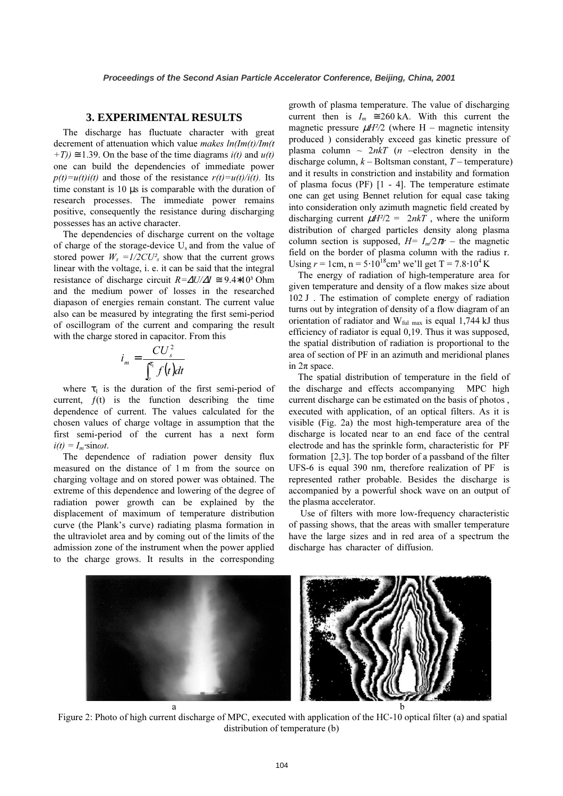#### **3. EXPERIMENTAL RESULTS**

The discharge has fluctuate character with great decrement of attenuation which value *makes*  $ln(Im(t)/Im(t))$  $+T$ ))  $\approx$  1.39. On the base of the time diagrams  $i(t)$  and  $u(t)$ one can build the dependencies of immediate power  $p(t)=u(t)i(t)$  and those of the resistance  $r(t)=u(t)/i(t)$ . Its time constant is 10 µs is comparable with the duration of research processes. The immediate power remains positive, consequently the resistance during discharging possesses has an active character.

The dependencies of discharge current on the voltage of charge of the storage-device  $U_s$  and from the value of stored power  $W_s = 1/2CU_s^2$  show that the current grows linear with the voltage, i. e. it can be said that the integral resistance of discharge circuit  $R = \Delta U/\Delta I \approx 9.4*10^3$  Ohm and the medium power of losses in the researched diapason of energies remain constant. The current value also can be measured by integrating the first semi-period of oscillogram of the current and comparing the result with the charge stored in capacitor. From this

$$
i_m = \frac{CU_s^2}{\int_0^{\tau_1} f(t)dt}
$$

where  $\tau_1$  is the duration of the first semi-period of current,  $f(t)$  is the function describing the time dependence of current. The values calculated for the chosen values of charge voltage in assumption that the first semi-period of the current has a next form  $i(t) = I_m \cdot \sin \omega t$ .

The dependence of radiation power density flux measured on the distance of 1 m from the source on charging voltage and on stored power was obtained. The extreme of this dependence and lowering of the degree of radiation power growth can be explained by the displacement of maximum of temperature distribution curve (the Plank's curve) radiating plasma formation in the ultraviolet area and by coming out of the limits of the admission zone of the instrument when the power applied to the charge grows. It results in the corresponding growth of plasma temperature. The value of discharging current then is  $I_m \approx 260$  kA. With this current the magnetic pressure  $\mu H^2/2$  (where H – magnetic intensity produced ) considerably exceed gas kinetic pressure of plasma column  $\sim 2n kT$  (*n* –electron density in the discharge column,  $k -$ Boltsman constant,  $T -$  temperature) and it results in constriction and instability and formation of plasma focus (PF) [1 - 4]. The temperature estimate one can get using Bennet relution for equal case taking into consideration only azimuth magnetic field created by discharging current  $\mu H^2/2 = 2nkT$ , where the uniform distribution of charged particles density along plasma column section is supposed,  $H = I_m/2\pi r$  – the magnetic field on the border of plasma column with the radius r. Using  $r = 1$ cm,  $n = 5.10^{18}$ cm<sup>3</sup> we'll get T = 7.8⋅10<sup>4</sup> K

The energy of radiation of high-temperature area for given temperature and density of a flow makes size about 102 J . The estimation of complete energy of radiation turns out by integration of density of a flow diagram of an orientation of radiator and  $W_{\text{ful max}}$  is equal 1,744 kJ thus efficiency of radiator is equal 0,19. Thus it was supposed, the spatial distribution of radiation is proportional to the area of section of PF in an azimuth and meridional planes in 2π space.

The spatial distribution of temperature in the field of the discharge and effects accompanying MPC high current discharge can be estimated on the basis of photos , executed with application, of an optical filters. As it is visible (Fig. 2a) the most high-temperature area of the discharge is located near to an end face of the central electrode and has the sprinkle form, characteristic for PF formation [2,3]. The top border of a passband of the filter UFS-6 is equal 390 nm, therefore realization of PF is represented rather probable. Besides the discharge is accompanied by a powerful shock wave on an output of the plasma accelerator.

 Use of filters with more low-frequency characteristic of passing shows, that the areas with smaller temperature have the large sizes and in red area of a spectrum the discharge has character of diffusion.



 Figure 2: Photo of high current discharge of MPC, executed with application of the HC-10 optical filter (a) and spatial distribution of temperature (b)